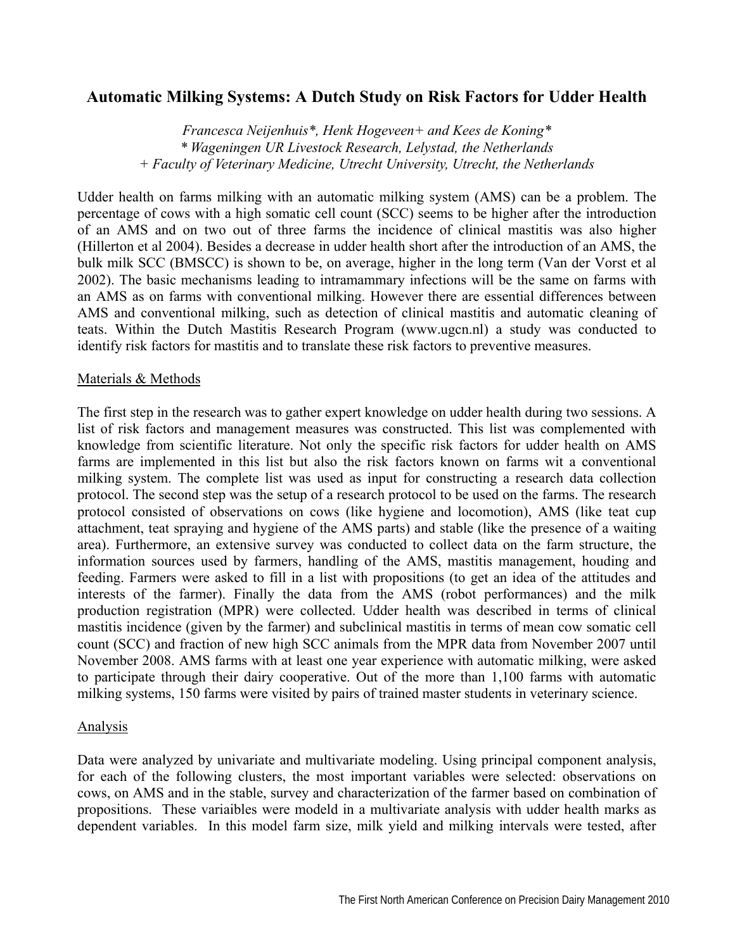# **Automatic Milking Systems: A Dutch Study on Risk Factors for Udder Health**

*Francesca Neijenhuis\*, Henk Hogeveen+ and Kees de Koning\* \* Wageningen UR Livestock Research, Lelystad, the Netherlands + Faculty of Veterinary Medicine, Utrecht University, Utrecht, the Netherlands* 

Udder health on farms milking with an automatic milking system (AMS) can be a problem. The percentage of cows with a high somatic cell count (SCC) seems to be higher after the introduction of an AMS and on two out of three farms the incidence of clinical mastitis was also higher (Hillerton et al 2004). Besides a decrease in udder health short after the introduction of an AMS, the bulk milk SCC (BMSCC) is shown to be, on average, higher in the long term (Van der Vorst et al 2002). The basic mechanisms leading to intramammary infections will be the same on farms with an AMS as on farms with conventional milking. However there are essential differences between AMS and conventional milking, such as detection of clinical mastitis and automatic cleaning of teats. Within the Dutch Mastitis Research Program (www.ugcn.nl) a study was conducted to identify risk factors for mastitis and to translate these risk factors to preventive measures.

#### Materials & Methods

The first step in the research was to gather expert knowledge on udder health during two sessions. A list of risk factors and management measures was constructed. This list was complemented with knowledge from scientific literature. Not only the specific risk factors for udder health on AMS farms are implemented in this list but also the risk factors known on farms wit a conventional milking system. The complete list was used as input for constructing a research data collection protocol. The second step was the setup of a research protocol to be used on the farms. The research protocol consisted of observations on cows (like hygiene and locomotion), AMS (like teat cup attachment, teat spraying and hygiene of the AMS parts) and stable (like the presence of a waiting area). Furthermore, an extensive survey was conducted to collect data on the farm structure, the information sources used by farmers, handling of the AMS, mastitis management, houding and feeding. Farmers were asked to fill in a list with propositions (to get an idea of the attitudes and interests of the farmer). Finally the data from the AMS (robot performances) and the milk production registration (MPR) were collected. Udder health was described in terms of clinical mastitis incidence (given by the farmer) and subclinical mastitis in terms of mean cow somatic cell count (SCC) and fraction of new high SCC animals from the MPR data from November 2007 until November 2008. AMS farms with at least one year experience with automatic milking, were asked to participate through their dairy cooperative. Out of the more than 1,100 farms with automatic milking systems, 150 farms were visited by pairs of trained master students in veterinary science.

### **Analysis**

Data were analyzed by univariate and multivariate modeling. Using principal component analysis, for each of the following clusters, the most important variables were selected: observations on cows, on AMS and in the stable, survey and characterization of the farmer based on combination of propositions. These variaibles were modeld in a multivariate analysis with udder health marks as dependent variables. In this model farm size, milk yield and milking intervals were tested, after